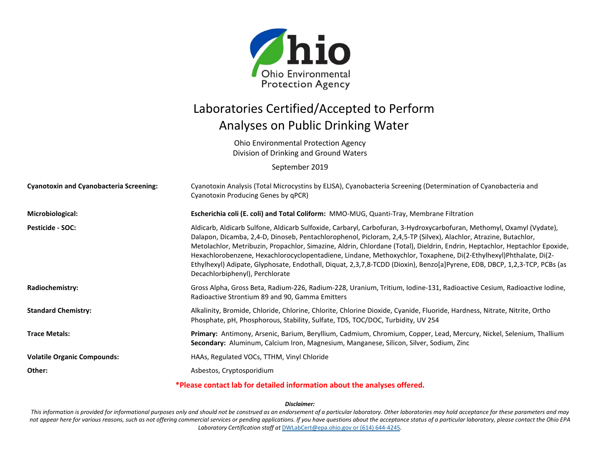

## Laboratories Certified/Accepted to Perform Analyses on Public Drinking Water

Ohio Environmental Protection Agency Division of Drinking and Ground Waters

September 2019

| <b>Cyanotoxin and Cyanobacteria Screening:</b> | Cyanotoxin Analysis (Total Microcystins by ELISA), Cyanobacteria Screening (Determination of Cyanobacteria and<br>Cyanotoxin Producing Genes by qPCR)                                                                                                                                                                                                                                                                                                                                                                                                                                                                                                        |
|------------------------------------------------|--------------------------------------------------------------------------------------------------------------------------------------------------------------------------------------------------------------------------------------------------------------------------------------------------------------------------------------------------------------------------------------------------------------------------------------------------------------------------------------------------------------------------------------------------------------------------------------------------------------------------------------------------------------|
| Microbiological:                               | Escherichia coli (E. coli) and Total Coliform: MMO-MUG, Quanti-Tray, Membrane Filtration                                                                                                                                                                                                                                                                                                                                                                                                                                                                                                                                                                     |
| <b>Pesticide - SOC:</b>                        | Aldicarb, Aldicarb Sulfone, Aldicarb Sulfoxide, Carbaryl, Carbofuran, 3-Hydroxycarbofuran, Methomyl, Oxamyl (Vydate),<br>Dalapon, Dicamba, 2,4-D, Dinoseb, Pentachlorophenol, Picloram, 2,4,5-TP (Silvex), Alachlor, Atrazine, Butachlor,<br>Metolachlor, Metribuzin, Propachlor, Simazine, Aldrin, Chlordane (Total), Dieldrin, Endrin, Heptachlor, Heptachlor Epoxide,<br>Hexachlorobenzene, Hexachlorocyclopentadiene, Lindane, Methoxychlor, Toxaphene, Di(2-Ethylhexyl)Phthalate, Di(2-<br>Ethylhexyl) Adipate, Glyphosate, Endothall, Diquat, 2,3,7,8-TCDD (Dioxin), Benzo[a]Pyrene, EDB, DBCP, 1,2,3-TCP, PCBs (as<br>Decachlorbiphenyl), Perchlorate |
| Radiochemistry:                                | Gross Alpha, Gross Beta, Radium-226, Radium-228, Uranium, Tritium, Iodine-131, Radioactive Cesium, Radioactive Iodine,<br>Radioactive Strontium 89 and 90, Gamma Emitters                                                                                                                                                                                                                                                                                                                                                                                                                                                                                    |
| <b>Standard Chemistry:</b>                     | Alkalinity, Bromide, Chloride, Chlorine, Chlorite, Chlorine Dioxide, Cyanide, Fluoride, Hardness, Nitrate, Nitrite, Ortho<br>Phosphate, pH, Phosphorous, Stability, Sulfate, TDS, TOC/DOC, Turbidity, UV 254                                                                                                                                                                                                                                                                                                                                                                                                                                                 |
| <b>Trace Metals:</b>                           | Primary: Antimony, Arsenic, Barium, Beryllium, Cadmium, Chromium, Copper, Lead, Mercury, Nickel, Selenium, Thallium<br>Secondary: Aluminum, Calcium Iron, Magnesium, Manganese, Silicon, Silver, Sodium, Zinc                                                                                                                                                                                                                                                                                                                                                                                                                                                |
| <b>Volatile Organic Compounds:</b>             | HAAs, Regulated VOCs, TTHM, Vinyl Chloride                                                                                                                                                                                                                                                                                                                                                                                                                                                                                                                                                                                                                   |
| Other:                                         | Asbestos, Cryptosporidium                                                                                                                                                                                                                                                                                                                                                                                                                                                                                                                                                                                                                                    |
|                                                | *Please contact lab for detailed information about the analyses offered.                                                                                                                                                                                                                                                                                                                                                                                                                                                                                                                                                                                     |

## *Disclaimer:*

*This information is provided for informational purposes only and should not be construed as an endorsement of a particular laboratory. Other laboratories may hold acceptance for these parameters and may not appear here for various reasons, such as not offering commercial services or pending applications. If you have questions about the acceptance status of a particular laboratory, please contact the Ohio EPA Laboratory Certification staff at* [DWLabCert@epa.ohio.gov](mailto:DWLabCert@epa.ohio.gov) or (614) 644-4245*.*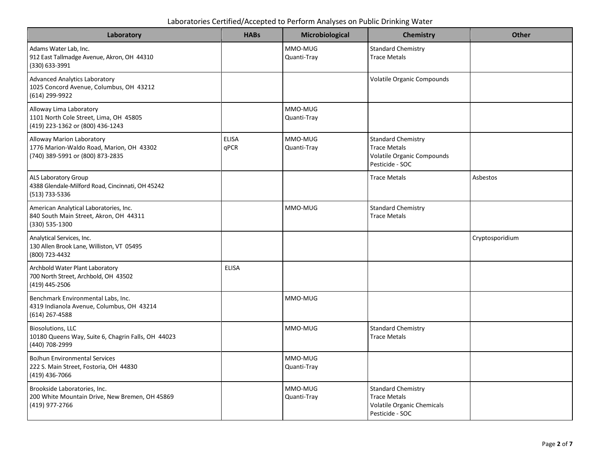Laboratories Certified/Accepted to Perform Analyses on Public Drinking Water

| Laboratory                                                                                                | <b>HABs</b>          | Microbiological        | Chemistry                                                                                                | <b>Other</b>    |
|-----------------------------------------------------------------------------------------------------------|----------------------|------------------------|----------------------------------------------------------------------------------------------------------|-----------------|
| Adams Water Lab, Inc.<br>912 East Tallmadge Avenue, Akron, OH 44310<br>(330) 633-3991                     |                      | MMO-MUG<br>Quanti-Tray | <b>Standard Chemistry</b><br><b>Trace Metals</b>                                                         |                 |
| <b>Advanced Analytics Laboratory</b><br>1025 Concord Avenue, Columbus, OH 43212<br>(614) 299-9922         |                      |                        | <b>Volatile Organic Compounds</b>                                                                        |                 |
| Alloway Lima Laboratory<br>1101 North Cole Street, Lima, OH 45805<br>(419) 223-1362 or (800) 436-1243     |                      | MMO-MUG<br>Quanti-Tray |                                                                                                          |                 |
| Alloway Marion Laboratory<br>1776 Marion-Waldo Road, Marion, OH 43302<br>(740) 389-5991 or (800) 873-2835 | <b>ELISA</b><br>qPCR | MMO-MUG<br>Quanti-Tray | <b>Standard Chemistry</b><br><b>Trace Metals</b><br><b>Volatile Organic Compounds</b><br>Pesticide - SOC |                 |
| ALS Laboratory Group<br>4388 Glendale-Milford Road, Cincinnati, OH 45242<br>(513) 733-5336                |                      |                        | <b>Trace Metals</b>                                                                                      | Asbestos        |
| American Analytical Laboratories, Inc.<br>840 South Main Street, Akron, OH 44311<br>(330) 535-1300        |                      | MMO-MUG                | <b>Standard Chemistry</b><br><b>Trace Metals</b>                                                         |                 |
| Analytical Services, Inc.<br>130 Allen Brook Lane, Williston, VT 05495<br>(800) 723-4432                  |                      |                        |                                                                                                          | Cryptosporidium |
| Archbold Water Plant Laboratory<br>700 North Street, Archbold, OH 43502<br>(419) 445-2506                 | <b>ELISA</b>         |                        |                                                                                                          |                 |
| Benchmark Environmental Labs, Inc.<br>4319 Indianola Avenue, Columbus, OH 43214<br>$(614)$ 267-4588       |                      | MMO-MUG                |                                                                                                          |                 |
| <b>Biosolutions, LLC</b><br>10180 Queens Way, Suite 6, Chagrin Falls, OH 44023<br>(440) 708-2999          |                      | MMO-MUG                | <b>Standard Chemistry</b><br><b>Trace Metals</b>                                                         |                 |
| <b>BoJhun Environmental Services</b><br>222 S. Main Street, Fostoria, OH 44830<br>(419) 436-7066          |                      | MMO-MUG<br>Quanti-Tray |                                                                                                          |                 |
| Brookside Laboratories, Inc.<br>200 White Mountain Drive, New Bremen, OH 45869<br>(419) 977-2766          |                      | MMO-MUG<br>Quanti-Tray | <b>Standard Chemistry</b><br><b>Trace Metals</b><br>Volatile Organic Chemicals<br>Pesticide - SOC        |                 |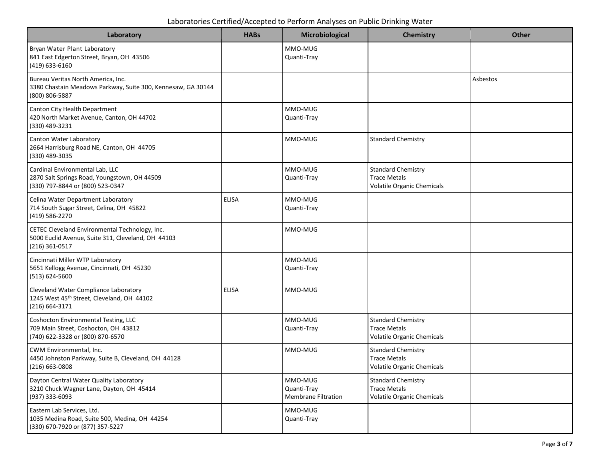| Laboratory                                                                                                             | <b>HABs</b>  | Microbiological                                      | Chemistry                                                                             | <b>Other</b> |
|------------------------------------------------------------------------------------------------------------------------|--------------|------------------------------------------------------|---------------------------------------------------------------------------------------|--------------|
| Bryan Water Plant Laboratory<br>841 East Edgerton Street, Bryan, OH 43506<br>(419) 633-6160                            |              | MMO-MUG<br>Quanti-Tray                               |                                                                                       |              |
| Bureau Veritas North America, Inc.<br>3380 Chastain Meadows Parkway, Suite 300, Kennesaw, GA 30144<br>(800) 806-5887   |              |                                                      |                                                                                       | Asbestos     |
| Canton City Health Department<br>420 North Market Avenue, Canton, OH 44702<br>(330) 489-3231                           |              | MMO-MUG<br>Quanti-Tray                               |                                                                                       |              |
| Canton Water Laboratory<br>2664 Harrisburg Road NE, Canton, OH 44705<br>(330) 489-3035                                 |              | MMO-MUG                                              | <b>Standard Chemistry</b>                                                             |              |
| Cardinal Environmental Lab, LLC<br>2870 Salt Springs Road, Youngstown, OH 44509<br>(330) 797-8844 or (800) 523-0347    |              | MMO-MUG<br>Quanti-Tray                               | <b>Standard Chemistry</b><br><b>Trace Metals</b><br><b>Volatile Organic Chemicals</b> |              |
| Celina Water Department Laboratory<br>714 South Sugar Street, Celina, OH 45822<br>(419) 586-2270                       | <b>ELISA</b> | MMO-MUG<br>Quanti-Tray                               |                                                                                       |              |
| CETEC Cleveland Environmental Technology, Inc.<br>5000 Euclid Avenue, Suite 311, Cleveland, OH 44103<br>(216) 361-0517 |              | MMO-MUG                                              |                                                                                       |              |
| Cincinnati Miller WTP Laboratory<br>5651 Kellogg Avenue, Cincinnati, OH 45230<br>(513) 624-5600                        |              | MMO-MUG<br>Quanti-Tray                               |                                                                                       |              |
| Cleveland Water Compliance Laboratory<br>1245 West 45th Street, Cleveland, OH 44102<br>$(216) 664 - 3171$              | <b>ELISA</b> | MMO-MUG                                              |                                                                                       |              |
| Coshocton Environmental Testing, LLC<br>709 Main Street, Coshocton, OH 43812<br>(740) 622-3328 or (800) 870-6570       |              | MMO-MUG<br>Quanti-Tray                               | <b>Standard Chemistry</b><br><b>Trace Metals</b><br><b>Volatile Organic Chemicals</b> |              |
| CWM Environmental, Inc.<br>4450 Johnston Parkway, Suite B, Cleveland, OH 44128<br>$(216)$ 663-0808                     |              | MMO-MUG                                              | <b>Standard Chemistry</b><br><b>Trace Metals</b><br><b>Volatile Organic Chemicals</b> |              |
| Dayton Central Water Quality Laboratory<br>3210 Chuck Wagner Lane, Dayton, OH 45414<br>(937) 333-6093                  |              | MMO-MUG<br>Quanti-Tray<br><b>Membrane Filtration</b> | <b>Standard Chemistry</b><br><b>Trace Metals</b><br><b>Volatile Organic Chemicals</b> |              |
| Eastern Lab Services, Ltd.<br>1035 Medina Road, Suite 500, Medina, OH 44254<br>(330) 670-7920 or (877) 357-5227        |              | MMO-MUG<br>Quanti-Tray                               |                                                                                       |              |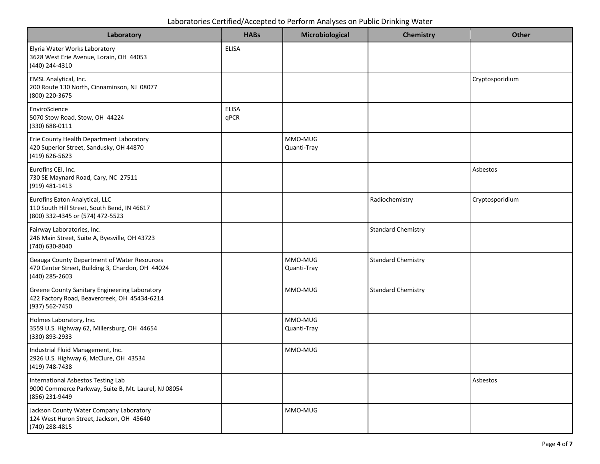Laboratories Certified/Accepted to Perform Analyses on Public Drinking Water

| Laboratory                                                                                                        | <b>HABs</b>          | Microbiological        | Chemistry                 | <b>Other</b>    |
|-------------------------------------------------------------------------------------------------------------------|----------------------|------------------------|---------------------------|-----------------|
| Elyria Water Works Laboratory<br>3628 West Erie Avenue, Lorain, OH 44053<br>(440) 244-4310                        | <b>ELISA</b>         |                        |                           |                 |
| EMSL Analytical, Inc.<br>200 Route 130 North, Cinnaminson, NJ 08077<br>(800) 220-3675                             |                      |                        |                           | Cryptosporidium |
| EnviroScience<br>5070 Stow Road, Stow, OH 44224<br>(330) 688-0111                                                 | <b>ELISA</b><br>qPCR |                        |                           |                 |
| Erie County Health Department Laboratory<br>420 Superior Street, Sandusky, OH 44870<br>(419) 626-5623             |                      | MMO-MUG<br>Quanti-Tray |                           |                 |
| Eurofins CEI, Inc.<br>730 SE Maynard Road, Cary, NC 27511<br>(919) 481-1413                                       |                      |                        |                           | Asbestos        |
| Eurofins Eaton Analytical, LLC<br>110 South Hill Street, South Bend, IN 46617<br>(800) 332-4345 or (574) 472-5523 |                      |                        | Radiochemistry            | Cryptosporidium |
| Fairway Laboratories, Inc.<br>246 Main Street, Suite A, Byesville, OH 43723<br>(740) 630-8040                     |                      |                        | <b>Standard Chemistry</b> |                 |
| Geauga County Department of Water Resources<br>470 Center Street, Building 3, Chardon, OH 44024<br>(440) 285-2603 |                      | MMO-MUG<br>Quanti-Tray | <b>Standard Chemistry</b> |                 |
| Greene County Sanitary Engineering Laboratory<br>422 Factory Road, Beavercreek, OH 45434-6214<br>(937) 562-7450   |                      | MMO-MUG                | <b>Standard Chemistry</b> |                 |
| Holmes Laboratory, Inc.<br>3559 U.S. Highway 62, Millersburg, OH 44654<br>(330) 893-2933                          |                      | MMO-MUG<br>Quanti-Tray |                           |                 |
| Industrial Fluid Management, Inc.<br>2926 U.S. Highway 6, McClure, OH 43534<br>(419) 748-7438                     |                      | MMO-MUG                |                           |                 |
| International Asbestos Testing Lab<br>9000 Commerce Parkway, Suite B, Mt. Laurel, NJ 08054<br>(856) 231-9449      |                      |                        |                           | Asbestos        |
| Jackson County Water Company Laboratory<br>124 West Huron Street, Jackson, OH 45640<br>(740) 288-4815             |                      | MMO-MUG                |                           |                 |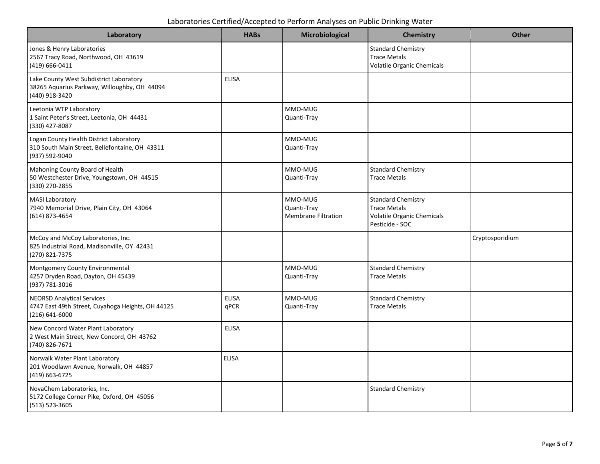| Laboratory                                                                                                   | <b>HABs</b>          | Microbiological                               | Chemistry                                                                                                | <b>Other</b>    |
|--------------------------------------------------------------------------------------------------------------|----------------------|-----------------------------------------------|----------------------------------------------------------------------------------------------------------|-----------------|
| Jones & Henry Laboratories<br>2567 Tracy Road, Northwood, OH 43619<br>$(419) 666 - 0411$                     |                      |                                               | <b>Standard Chemistry</b><br><b>Trace Metals</b><br><b>Volatile Organic Chemicals</b>                    |                 |
| Lake County West Subdistrict Laboratory<br>38265 Aquarius Parkway, Willoughby, OH 44094<br>(440) 918-3420    | <b>ELISA</b>         |                                               |                                                                                                          |                 |
| Leetonia WTP Laboratory<br>1 Saint Peter's Street, Leetonia, OH 44431<br>(330) 427-8087                      |                      | MMO-MUG<br>Quanti-Tray                        |                                                                                                          |                 |
| Logan County Health District Laboratory<br>310 South Main Street, Bellefontaine, OH 43311<br>(937) 592-9040  |                      | MMO-MUG<br>Quanti-Tray                        |                                                                                                          |                 |
| Mahoning County Board of Health<br>50 Westchester Drive, Youngstown, OH 44515<br>(330) 270-2855              |                      | MMO-MUG<br>Quanti-Tray                        | <b>Standard Chemistry</b><br><b>Trace Metals</b>                                                         |                 |
| <b>MASI Laboratory</b><br>7940 Memorial Drive, Plain City, OH 43064<br>(614) 873-4654                        |                      | MMO-MUG<br>Quanti-Tray<br>Membrane Filtration | <b>Standard Chemistry</b><br><b>Trace Metals</b><br><b>Volatile Organic Chemicals</b><br>Pesticide - SOC |                 |
| McCoy and McCoy Laboratories, Inc.<br>825 Industrial Road, Madisonville, OY 42431<br>(270) 821-7375          |                      |                                               |                                                                                                          | Cryptosporidium |
| Montgomery County Environmental<br>4257 Dryden Road, Dayton, OH 45439<br>(937) 781-3016                      |                      | MMO-MUG<br>Quanti-Tray                        | <b>Standard Chemistry</b><br><b>Trace Metals</b>                                                         |                 |
| <b>NEORSD Analytical Services</b><br>4747 East 49th Street, Cuyahoga Heights, OH 44125<br>$(216) 641 - 6000$ | <b>ELISA</b><br>qPCR | MMO-MUG<br>Quanti-Tray                        | <b>Standard Chemistry</b><br><b>Trace Metals</b>                                                         |                 |
| New Concord Water Plant Laboratory<br>2 West Main Street, New Concord, OH 43762<br>(740) 826-7671            | <b>ELISA</b>         |                                               |                                                                                                          |                 |
| Norwalk Water Plant Laboratory<br>201 Woodlawn Avenue, Norwalk, OH 44857<br>(419) 663-6725                   | <b>ELISA</b>         |                                               |                                                                                                          |                 |
| NovaChem Laboratories, Inc.<br>5172 College Corner Pike, Oxford, OH 45056<br>(513) 523-3605                  |                      |                                               | <b>Standard Chemistry</b>                                                                                |                 |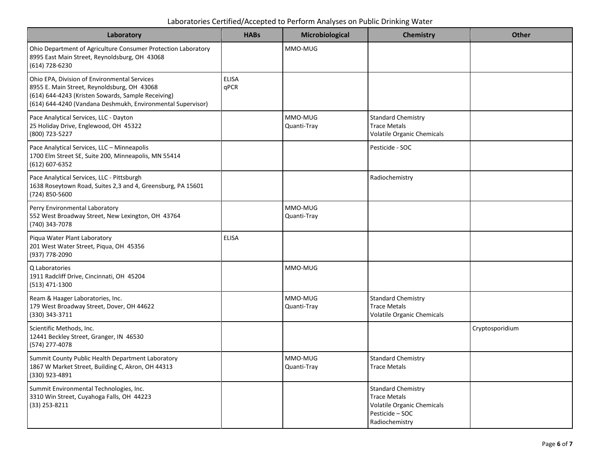| Laboratories Certified/Accepted to Perform Analyses on Public Drinking Water |  |  |
|------------------------------------------------------------------------------|--|--|
|------------------------------------------------------------------------------|--|--|

| Laboratory                                                                                                                                                                                                       | <b>HABs</b>          | Microbiological        | <b>Chemistry</b>                                                                                                           | <b>Other</b>    |
|------------------------------------------------------------------------------------------------------------------------------------------------------------------------------------------------------------------|----------------------|------------------------|----------------------------------------------------------------------------------------------------------------------------|-----------------|
| Ohio Department of Agriculture Consumer Protection Laboratory<br>8995 East Main Street, Reynoldsburg, OH 43068<br>(614) 728-6230                                                                                 |                      | MMO-MUG                |                                                                                                                            |                 |
| Ohio EPA, Division of Environmental Services<br>8955 E. Main Street, Reynoldsburg, OH 43068<br>(614) 644-4243 (Kristen Sowards, Sample Receiving)<br>(614) 644-4240 (Vandana Deshmukh, Environmental Supervisor) | <b>ELISA</b><br>qPCR |                        |                                                                                                                            |                 |
| Pace Analytical Services, LLC - Dayton<br>25 Holiday Drive, Englewood, OH 45322<br>(800) 723-5227                                                                                                                |                      | MMO-MUG<br>Quanti-Tray | <b>Standard Chemistry</b><br><b>Trace Metals</b><br>Volatile Organic Chemicals                                             |                 |
| Pace Analytical Services, LLC - Minneapolis<br>1700 Elm Street SE, Suite 200, Minneapolis, MN 55414<br>$(612) 607 - 6352$                                                                                        |                      |                        | Pesticide - SOC                                                                                                            |                 |
| Pace Analytical Services, LLC - Pittsburgh<br>1638 Roseytown Road, Suites 2,3 and 4, Greensburg, PA 15601<br>(724) 850-5600                                                                                      |                      |                        | Radiochemistry                                                                                                             |                 |
| Perry Environmental Laboratory<br>552 West Broadway Street, New Lexington, OH 43764<br>(740) 343-7078                                                                                                            |                      | MMO-MUG<br>Quanti-Tray |                                                                                                                            |                 |
| Piqua Water Plant Laboratory<br>201 West Water Street, Piqua, OH 45356<br>(937) 778-2090                                                                                                                         | <b>ELISA</b>         |                        |                                                                                                                            |                 |
| Q Laboratories<br>1911 Radcliff Drive, Cincinnati, OH 45204<br>(513) 471-1300                                                                                                                                    |                      | MMO-MUG                |                                                                                                                            |                 |
| Ream & Haager Laboratories, Inc.<br>179 West Broadway Street, Dover, OH 44622<br>(330) 343-3711                                                                                                                  |                      | MMO-MUG<br>Quanti-Tray | <b>Standard Chemistry</b><br><b>Trace Metals</b><br>Volatile Organic Chemicals                                             |                 |
| Scientific Methods, Inc.<br>12441 Beckley Street, Granger, IN 46530<br>(574) 277-4078                                                                                                                            |                      |                        |                                                                                                                            | Cryptosporidium |
| Summit County Public Health Department Laboratory<br>1867 W Market Street, Building C, Akron, OH 44313<br>(330) 923-4891                                                                                         |                      | MMO-MUG<br>Quanti-Tray | <b>Standard Chemistry</b><br><b>Trace Metals</b>                                                                           |                 |
| Summit Environmental Technologies, Inc.<br>3310 Win Street, Cuyahoga Falls, OH 44223<br>$(33)$ 253-8211                                                                                                          |                      |                        | <b>Standard Chemistry</b><br><b>Trace Metals</b><br><b>Volatile Organic Chemicals</b><br>Pesticide - SOC<br>Radiochemistry |                 |